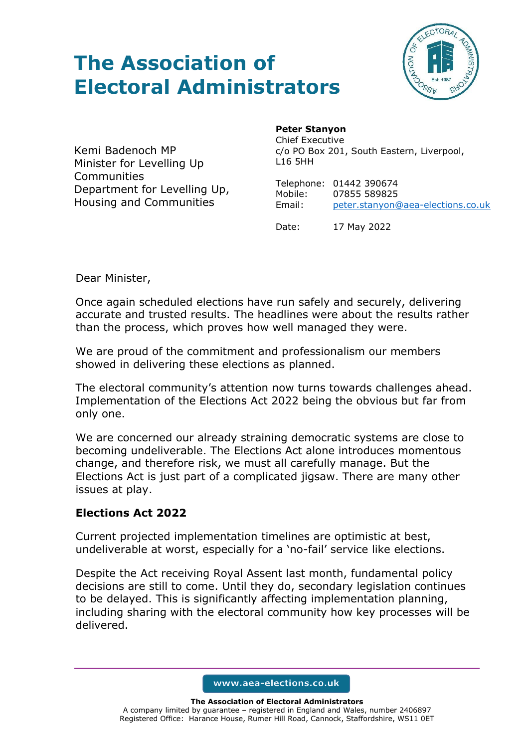# **The Association of Electoral Administrators**



Kemi Badenoch MP Minister for Levelling Up **Communities** Department for Levelling Up, Housing and Communities

### **Peter Stanyon**

Chief Executive c/o PO Box 201, South Eastern, Liverpool, L16 5HH

Telephone: 01442 390674 Mobile: 07855 589825 Email: [peter.stanyon@aea-elections.co.uk](mailto:peter.stanyon@aea-elections.co.uk)

Date: 17 May 2022

Dear Minister,

Once again scheduled elections have run safely and securely, delivering accurate and trusted results. The headlines were about the results rather than the process, which proves how well managed they were.

We are proud of the commitment and professionalism our members showed in delivering these elections as planned.

The electoral community's attention now turns towards challenges ahead. Implementation of the Elections Act 2022 being the obvious but far from only one.

We are concerned our already straining democratic systems are close to becoming undeliverable. The Elections Act alone introduces momentous change, and therefore risk, we must all carefully manage. But the Elections Act is just part of a complicated jigsaw. There are many other issues at play.

## **Elections Act 2022**

Current projected implementation timelines are optimistic at best, undeliverable at worst, especially for a 'no-fail' service like elections.

Despite the Act receiving Royal Assent last month, fundamental policy decisions are still to come. Until they do, secondary legislation continues to be delayed. This is significantly affecting implementation planning, including sharing with the electoral community how key processes will be delivered.

www.aea-elections.co.uk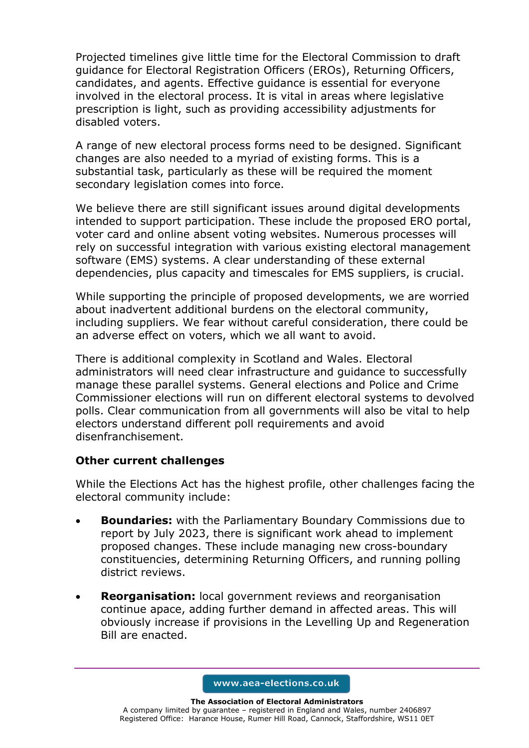Projected timelines give little time for the Electoral Commission to draft guidance for Electoral Registration Officers (EROs), Returning Officers, candidates, and agents. Effective guidance is essential for everyone involved in the electoral process. It is vital in areas where legislative prescription is light, such as providing accessibility adjustments for disabled voters.

A range of new electoral process forms need to be designed. Significant changes are also needed to a myriad of existing forms. This is a substantial task, particularly as these will be required the moment secondary legislation comes into force.

We believe there are still significant issues around digital developments intended to support participation. These include the proposed ERO portal, voter card and online absent voting websites. Numerous processes will rely on successful integration with various existing electoral management software (EMS) systems. A clear understanding of these external dependencies, plus capacity and timescales for EMS suppliers, is crucial.

While supporting the principle of proposed developments, we are worried about inadvertent additional burdens on the electoral community, including suppliers. We fear without careful consideration, there could be an adverse effect on voters, which we all want to avoid.

There is additional complexity in Scotland and Wales. Electoral administrators will need clear infrastructure and guidance to successfully manage these parallel systems. General elections and Police and Crime Commissioner elections will run on different electoral systems to devolved polls. Clear communication from all governments will also be vital to help electors understand different poll requirements and avoid disenfranchisement.

## **Other current challenges**

While the Elections Act has the highest profile, other challenges facing the electoral community include:

- **Boundaries:** with the Parliamentary Boundary Commissions due to report by July 2023, there is significant work ahead to implement proposed changes. These include managing new cross-boundary constituencies, determining Returning Officers, and running polling district reviews.
- **Reorganisation:** local government reviews and reorganisation continue apace, adding further demand in affected areas. This will obviously increase if provisions in the Levelling Up and Regeneration Bill are enacted.

www.aea-elections.co.uk